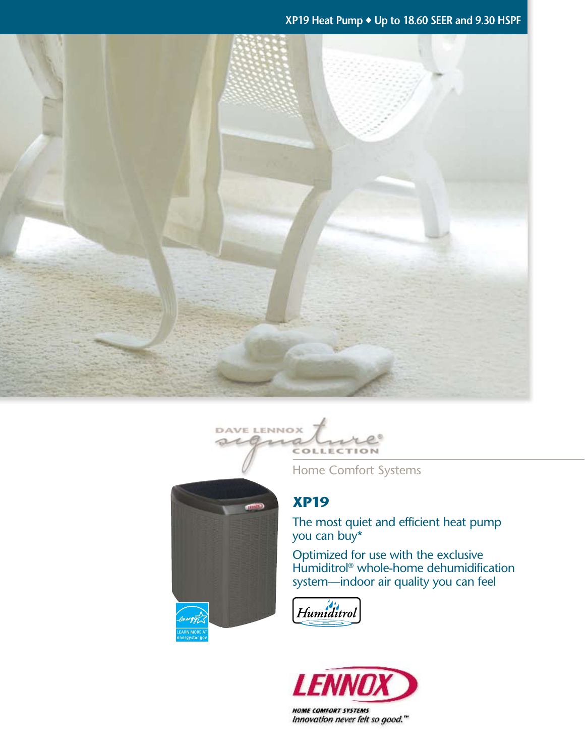**XP19 Heat Pump** ◆ **Up to 18.60 SEER and 9.30 HSPF**





Home Comfort Systems

# **XP19**

The most quiet and efficient heat pump you can buy\*

Optimized for use with the exclusive Humiditrol<sup>®</sup> whole-home dehumidification system—indoor air quality you can feel





Innovation never felt so good."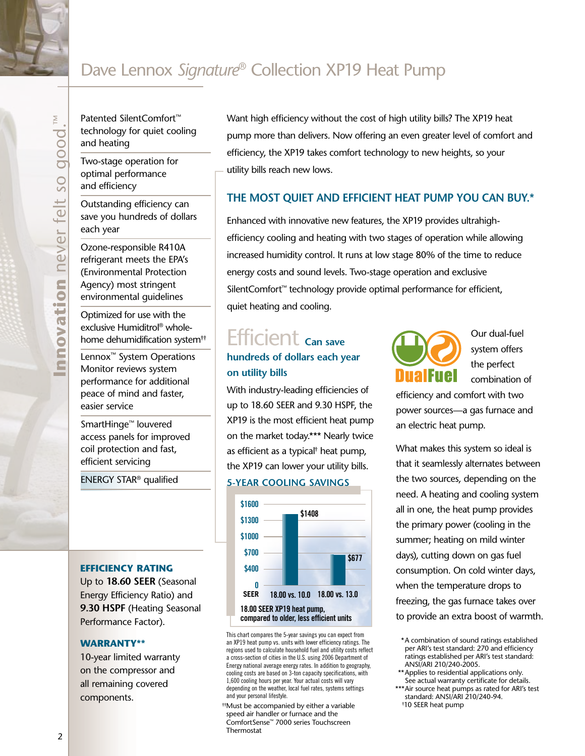# Dave Lennox *Signature*® Collection XP19 Heat Pump

Patented SilentComfort™ technology for quiet cooling and heating

Two-stage operation for optimal performance and efficiency

Outstanding efficiency can save you hundreds of dollars each year

Ozone-responsible R410A refrigerant meets the EPA's (Environmental Protection Agency) most stringent environmental guidelines

Optimized for use with the exclusive Humiditrol® wholehome dehumidification system††

Lennox™ System Operations Monitor reviews system performance for additional peace of mind and faster, easier service

SmartHinge™ louvered access panels for improved coil protection and fast, efficient servicing

ENERGY STAR® qualified

#### **efficiency rating**

Up to **18.60 SEER** (Seasonal Energy Efficiency Ratio) and **9.30 HSPF** (Heating Seasonal Performance Factor).

#### **Warranty\*\***

10-year limited warranty on the compressor and all remaining covered components.

Want high efficiency without the cost of high utility bills? The XP19 heat pump more than delivers. Now offering an even greater level of comfort and efficiency, the XP19 takes comfort technology to new heights, so your utility bills reach new lows.

## **The Most Quiet and Efficient Heat Pump You Can Buy.\***

Enhanced with innovative new features, the XP19 provides ultrahighefficiency cooling and heating with two stages of operation while allowing increased humidity control. It runs at low stage 80% of the time to reduce energy costs and sound levels. Two-stage operation and exclusive SilentComfort™ technology provide optimal performance for efficient, quiet heating and cooling.

# Efficient **Can save hundreds of dollars each year on utility bills**

With industry-leading efficiencies of up to 18.60 SEER and 9.30 HSPF, the XP19 is the most efficient heat pump on the market today.\*\*\* Nearly twice as efficient as a typical† heat pump, the XP19 can lower your utility bills.

#### **5-year cooling savings**



This chart compares the 5-year savings you can expect from an XP19 heat pump vs. units with lower efficiency ratings. The regions used to calculate household fuel and utility costs reflect a cross-section of cities in the U.S. using 2006 Department of Energy national average energy rates. In addition to geography, cooling costs are based on 3-ton capacity specifications, with 1,600 cooling hours per year. Your actual costs will vary depending on the weather, local fuel rates, systems settings and your personal lifestyle.

††Must be accompanied by either a variable speed air handler or furnace and the ComfortSense™ 7000 series Touchscreen Thermostat



Our dual-fuel system offers the perfect combination of

efficiency and comfort with two power sources—a gas furnace and an electric heat pump.

What makes this system so ideal is that it seamlessly alternates between the two sources, depending on the need. A heating and cooling system all in one, the heat pump provides the primary power (cooling in the summer; heating on mild winter days), cutting down on gas fuel consumption. On cold winter days, when the temperature drops to freezing, the gas furnace takes over to provide an extra boost of warmth.

- \*\*Applies to residential applications only. See actual warranty certificate for details.
- \*Air source heat pumps as rated for ARI's test standard: ANSI/ARI 210/240-94. † 10 SEER heat pump

 $\overline{2}$ 

<sup>\*</sup>A combination of sound ratings established per ARI's test standard: 270 and efficiency ratings established per ARI's test standard: ANSI/ARI 210/240-2005.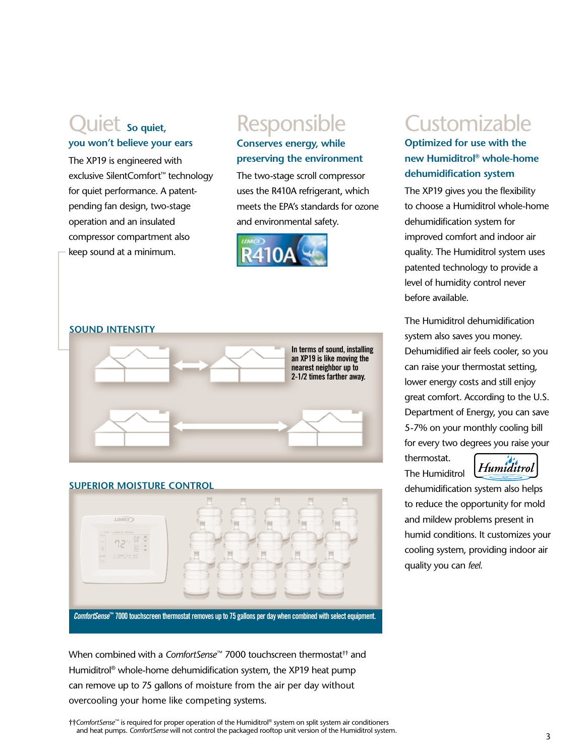# Quiet **So quiet, you won't believe your ears**

The XP19 is engineered with exclusive SilentComfort™ technology for quiet performance. A patentpending fan design, two-stage operation and an insulated compressor compartment also keep sound at a minimum.

# Responsible

# **Conserves energy, while preserving the environment**

The two-stage scroll compressor uses the R410A refrigerant, which meets the EPA's standards for ozone and environmental safety.





## **SUPERIOR moisture control**



When combined with a *ComfortSense*™ 7000 touchscreen thermostat†† and Humiditrol® whole-home dehumidification system, the XP19 heat pump can remove up to 75 gallons of moisture from the air per day without overcooling your home like competing systems.

# **Customizable**

# **Optimized for use with the new Humiditrol® whole-home dehumidification system**

The XP19 gives you the flexibility to choose a Humiditrol whole-home dehumidification system for improved comfort and indoor air quality. The Humiditrol system uses patented technology to provide a level of humidity control never before available.

The Humiditrol dehumidification system also saves you money. Dehumidified air feels cooler, so you can raise your thermostat setting, lower energy costs and still enjoy great comfort. According to the U.S. Department of Energy, you can save 5-7% on your monthly cooling bill for every two degrees you raise your

thermostat. The Humiditrol



dehumidification system also helps to reduce the opportunity for mold and mildew problems present in humid conditions. It customizes your cooling system, providing indoor air quality you can *feel*.

††*ComfortSense*™ is required for proper operation of the Humiditrol® system on split system air conditioners and heat pumps. *ComfortSense* will not control the packaged rooftop unit version of the Humiditrol system.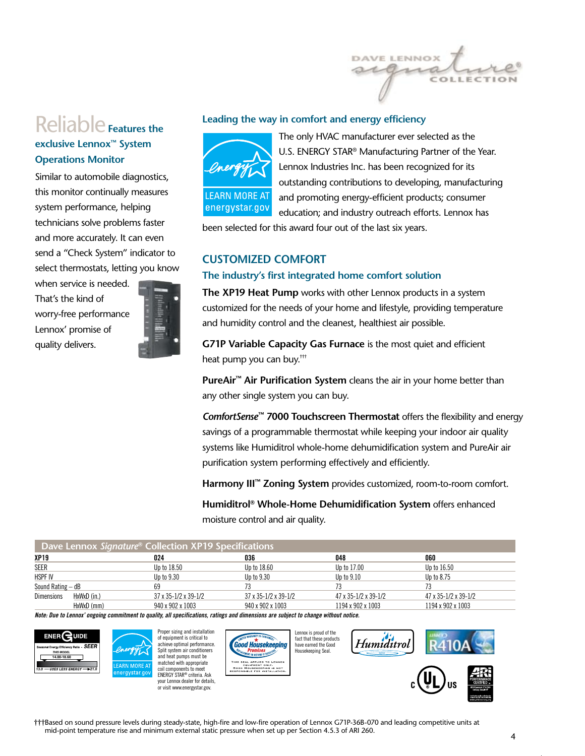

# Reliable **Features the exclusive Lennox™ System Operations Monitor**

Similar to automobile diagnostics, this monitor continually measures system performance, helping technicians solve problems faster and more accurately. It can even send a "Check System" indicator to select thermostats, letting you know

when service is needed. That's the kind of worry-free performance Lennox' promise of quality delivers.



#### **Leading the way in comfort and energy efficiency**



The only HVAC manufacturer ever selected as the U.S. ENERGY STAR® Manufacturing Partner of the Year. Lennox Industries Inc. has been recognized for its outstanding contributions to developing, manufacturing and promoting energy-efficient products; consumer education; and industry outreach efforts. Lennox has

been selected for this award four out of the last six years.

## **Customized Comfort**

#### **The industry's first integrated home comfort solution**

**The XP19 Heat Pump** works with other Lennox products in a system customized for the needs of your home and lifestyle, providing temperature and humidity control and the cleanest, healthiest air possible.

**G71P Variable Capacity Gas Furnace** is the most quiet and efficient heat pump you can buy.†††

**PureAir™ Air Purification System** cleans the air in your home better than any other single system you can buy.

*ComfortSense***™ 7000 Touchscreen Thermostat** offers the flexibility and energy savings of a programmable thermostat while keeping your indoor air quality systems like Humiditrol whole-home dehumidification system and PureAir air purification system performing effectively and efficiently.

**Harmony III™ Zoning System** provides customized, room-to-room comfort.

**Humiditrol® Whole-Home Dehumidification System** offers enhanced moisture control and air quality.

| Dave Lennox Signature® Collection XP19 Specifications |             |                                      |                      |                      |                                      |
|-------------------------------------------------------|-------------|--------------------------------------|----------------------|----------------------|--------------------------------------|
| XP19                                                  |             | 024                                  | 036                  | 048                  | 060                                  |
| <b>SEER</b>                                           |             | Up to 18.50                          | Up to 18.60          | Up to 17.00          | Up to 16.50                          |
| <b>HSPF IV</b>                                        |             | Up to 9.30                           | Up to 9.30           | Up to 9.10           | Up to 8.75                           |
| Sound Rating $-$ dB                                   |             | 69                                   |                      |                      |                                      |
| <b>Dimensions</b>                                     | HxWxD (in.) | $37 \times 35 - 1/2 \times 39 - 1/2$ | 37 x 35-1/2 x 39-1/2 | 47 x 35-1/2 x 39-1/2 | $47 \times 35 - 1/2 \times 39 - 1/2$ |
|                                                       | HxWxD (mm)  | 940 x 902 x 1003                     | 940 x 902 x 1003     | 1194 x 902 x 1003    | 1194 x 902 x 1003                    |

*Note: Due to Lennox' ongoing commitment to quality, all specifications, ratings and dimensions are subject to change without notice.*



†††Based on sound pressure levels during steady-state, high-fire and low-fire operation of Lennox G71P-36B-070 and leading competitive units at mid-point temperature rise and minimum external static pressure when set up per Section 4.5.3 of ARI 260.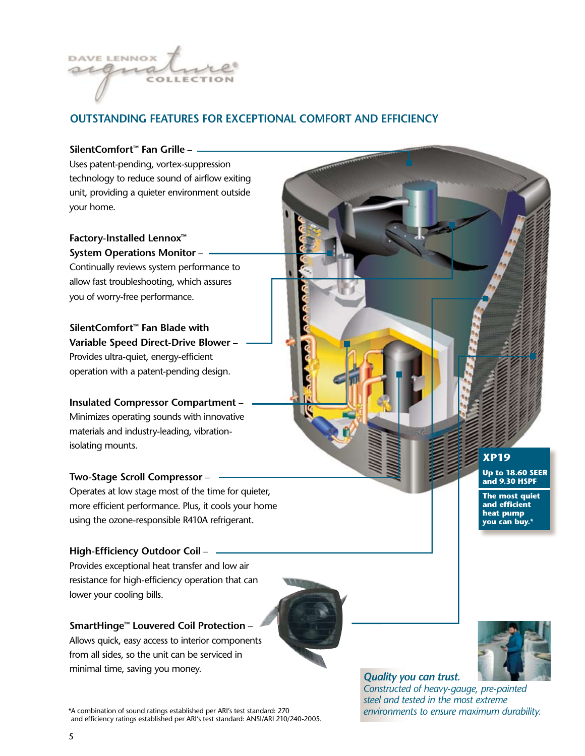

# **outstanding features for exceptional comfort and efficiency**

#### **SilentComfort™ Fan Grille** –

Uses patent-pending, vortex-suppression technology to reduce sound of airflow exiting unit, providing a quieter environment outside your home.

**Factory-Installed Lennox™ System Operations Monitor** –

Continually reviews system performance to allow fast troubleshooting, which assures you of worry-free performance.

### **SilentComfort™ Fan Blade with Variable Speed Direct-Drive Blower** –

Provides ultra-quiet, energy-efficient operation with a patent-pending design.

# **Insulated Compressor Compartment** – Minimizes operating sounds with innovative materials and industry-leading, vibrationisolating mounts.

#### **Two-Stage Scroll Compressor** –

Operates at low stage most of the time for quieter, more efficient performance. Plus, it cools your home using the ozone-responsible R410A refrigerant.

## **High-Efficiency Outdoor Coil** –

Provides exceptional heat transfer and low air resistance for high-efficiency operation that can lower your cooling bills.

## **SmartHinge™ Louvered Coil Protection** –

Allows quick, easy access to interior components from all sides, so the unit can be serviced in minimal time, saving you money.



\*A combination of sound ratings established per ARI's test standard: 270 and efficiency ratings established per ARI's test standard: ANSI/ARI 210/240-2005.

**XP19 Up to 18.60 SEER and 9.30 HSPF**

**The most quiet and efficient heat pump you can buy.\***



## *Quality you can trust.*

*Constructed of heavy-gauge, pre-painted steel and tested in the most extreme environments to ensure maximum durability.*